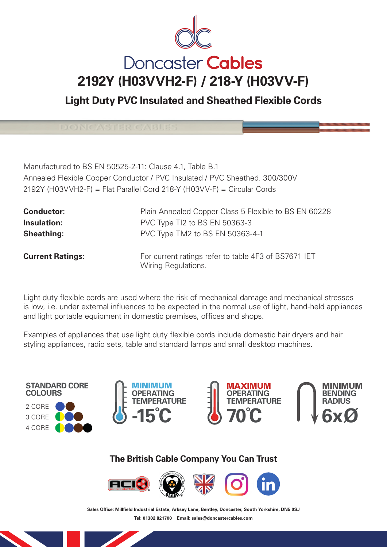

**Light Duty PVC Insulated and Sheathed Flexible Cords**

Manufactured to BS EN 50525-2-11: Clause 4.1, Table B.1 Annealed Flexible Copper Conductor / PVC Insulated / PVC Sheathed. 300/300V 2192Y (H03VVH2-F) = Flat Parallel Cord 218-Y (H03VV-F) = Circular Cords

| <b>Conductor:</b>       | Plain Annealed Copper Class 5 Flexible to BS EN 60228                       |
|-------------------------|-----------------------------------------------------------------------------|
| Insulation:             | PVC Type TI2 to BS EN 50363-3                                               |
| <b>Sheathing:</b>       | PVC Type TM2 to BS EN 50363-4-1                                             |
| <b>Current Ratings:</b> | For current ratings refer to table 4F3 of BS7671 IET<br>Wiring Regulations. |

Light duty flexible cords are used where the risk of mechanical damage and mechanical stresses is low, i.e. under external influences to be expected in the normal use of light, hand-held appliances and light portable equipment in domestic premises, offices and shops.

Examples of appliances that use light duty flexible cords include domestic hair dryers and hair styling appliances, radio sets, table and standard lamps and small desktop machines.









## **The British Cable Company You Can Trust**



Sales Office: Millfield Industrial Estate, Arksey Lane, Bentley, Doncaster, South Yorkshire, DN5 0SJ **Tel: 01302 821700 Email: sales@doncastercables.com**